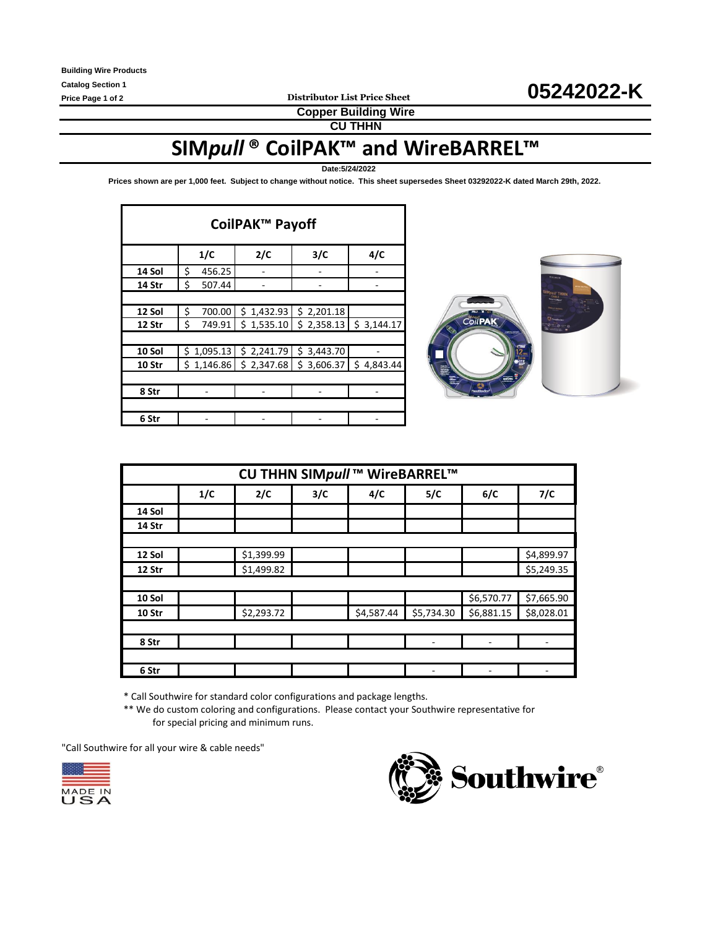**Copper Building Wire**

**CU THHN**

# **SIM***pull* **® CoilPAK™ and WireBARREL™**

**Date:5/24/2022**

**Prices shown are per 1,000 feet. Subject to change without notice. This sheet supersedes Sheet 03292022-K dated March 29th, 2022.** 

| CoilPAK <sup>™</sup> Payoff |              |                                                                                             |                                                                      |     |  |  |  |  |  |  |
|-----------------------------|--------------|---------------------------------------------------------------------------------------------|----------------------------------------------------------------------|-----|--|--|--|--|--|--|
|                             | 1/C          | 2/C                                                                                         | 3/C                                                                  | 4/C |  |  |  |  |  |  |
| 14 Sol                      | \$<br>456.25 |                                                                                             |                                                                      |     |  |  |  |  |  |  |
| 14 Str                      | \$<br>507.44 |                                                                                             |                                                                      |     |  |  |  |  |  |  |
|                             |              |                                                                                             |                                                                      |     |  |  |  |  |  |  |
| 12 Sol                      | \$<br>700.00 | \$1,432.93                                                                                  | \$2,201.18                                                           |     |  |  |  |  |  |  |
| 12 Str                      | \$<br>749.91 |                                                                                             | $\frac{1}{2}$ 1,535.10 $\frac{1}{2}$ 2,358.13 $\frac{1}{2}$ 3,144.17 |     |  |  |  |  |  |  |
|                             |              |                                                                                             |                                                                      |     |  |  |  |  |  |  |
| 10 Sol                      | \$1,095.13   | \$2,241.79                                                                                  | \$3,443.70                                                           |     |  |  |  |  |  |  |
| 10 Str                      |              | $\frac{1}{2}$ 1,146.86 $\frac{1}{2}$ 2,347.68 $\frac{1}{2}$ 3,606.37 $\frac{1}{2}$ 4,843.44 |                                                                      |     |  |  |  |  |  |  |
|                             |              |                                                                                             |                                                                      |     |  |  |  |  |  |  |
| 8 Str                       |              |                                                                                             |                                                                      |     |  |  |  |  |  |  |
|                             |              |                                                                                             |                                                                      |     |  |  |  |  |  |  |
| 6 Str                       |              |                                                                                             |                                                                      |     |  |  |  |  |  |  |



| CU THHN SIMpull ™ WireBARREL™ |     |            |     |            |            |            |            |  |  |
|-------------------------------|-----|------------|-----|------------|------------|------------|------------|--|--|
|                               | 1/C | 2/C        | 3/C | 4/C        | 5/C        | 6/C        | 7/C        |  |  |
| 14 Sol                        |     |            |     |            |            |            |            |  |  |
| 14 Str                        |     |            |     |            |            |            |            |  |  |
|                               |     |            |     |            |            |            |            |  |  |
| 12 Sol                        |     | \$1,399.99 |     |            |            |            | \$4,899.97 |  |  |
| 12 Str                        |     | \$1,499.82 |     |            |            |            | \$5,249.35 |  |  |
|                               |     |            |     |            |            |            |            |  |  |
| 10 Sol                        |     |            |     |            |            | \$6,570.77 | \$7,665.90 |  |  |
| 10 Str                        |     | \$2,293.72 |     | \$4,587.44 | \$5,734.30 | \$6,881.15 | \$8,028.01 |  |  |
|                               |     |            |     |            |            |            |            |  |  |
| 8 Str                         |     |            |     |            |            | ۰          |            |  |  |
|                               |     |            |     |            |            |            |            |  |  |
| 6 Str                         |     |            |     |            |            |            |            |  |  |

\* Call Southwire for standard color configurations and package lengths.

\*\* We do custom coloring and configurations. Please contact your Southwire representative for for special pricing and minimum runs.

"Call Southwire for all your wire & cable needs"